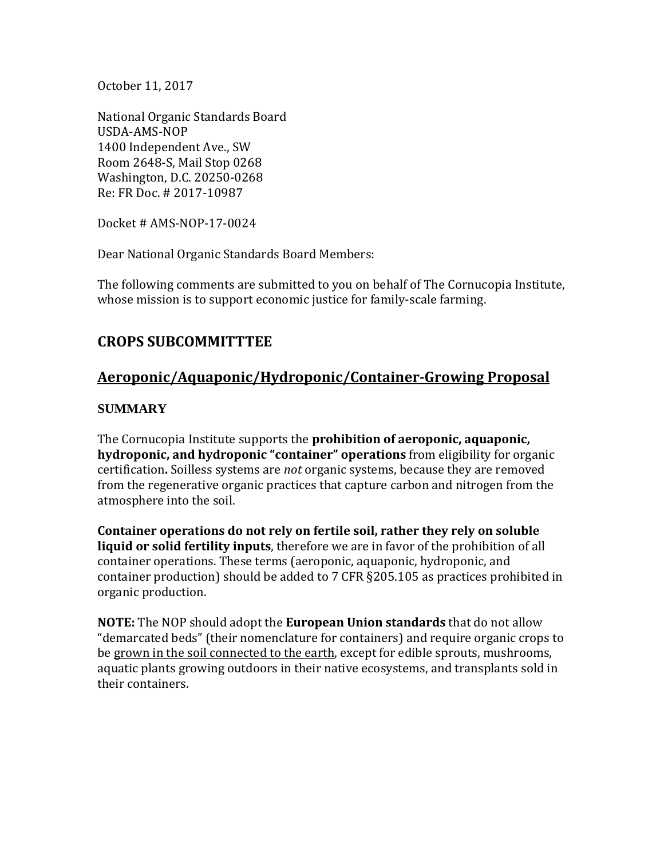October 11, 2017

National Organic Standards Board USDA-AMS-NOP 1400 Independent Ave., SW Room 2648-S, Mail Stop 0268 Washington, D.C. 20250-0268 Re: FR Doc. # 2017-10987

Docket # AMS-NOP-17-0024

Dear National Organic Standards Board Members:

The following comments are submitted to you on behalf of The Cornucopia Institute, whose mission is to support economic justice for family-scale farming.

# **CROPS SUBCOMMITTTEE**

# **Aeroponic/Aquaponic/Hydroponic/Container-Growing Proposal**

## **SUMMARY**

The Cornucopia Institute supports the **prohibition of aeroponic, aquaponic, hydroponic, and hydroponic "container" operations** from eligibility for organic certification**.** Soilless systems are *not* organic systems, because they are removed from the regenerative organic practices that capture carbon and nitrogen from the atmosphere into the soil.

**Container operations do not rely on fertile soil, rather they rely on soluble liquid or solid fertility inputs**, therefore we are in favor of the prohibition of all container operations. These terms (aeroponic, aquaponic, hydroponic, and container production) should be added to 7 CFR §205.105 as practices prohibited in organic production.

**NOTE:** The NOP should adopt the **European Union standards** that do not allow "demarcated beds" (their nomenclature for containers) and require organic crops to be grown in the soil connected to the earth, except for edible sprouts, mushrooms, aquatic plants growing outdoors in their native ecosystems, and transplants sold in their containers.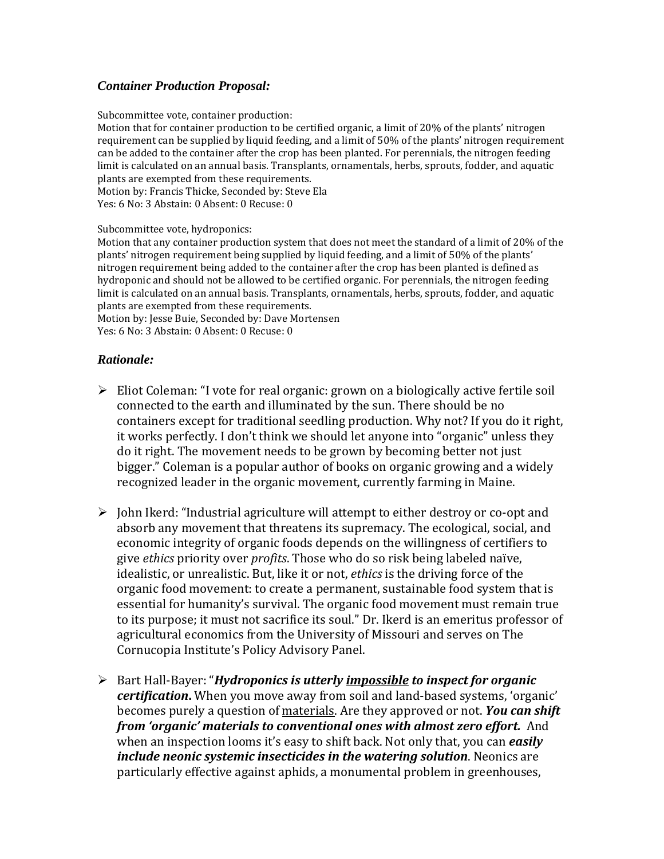### *Container Production Proposal:*

Subcommittee vote, container production:

Motion that for container production to be certified organic, a limit of 20% of the plants' nitrogen requirement can be supplied by liquid feeding, and a limit of 50% of the plants' nitrogen requirement can be added to the container after the crop has been planted. For perennials, the nitrogen feeding limit is calculated on an annual basis. Transplants, ornamentals, herbs, sprouts, fodder, and aquatic plants are exempted from these requirements. Motion by: Francis Thicke, Seconded by: Steve Ela Yes: 6 No: 3 Abstain: 0 Absent: 0 Recuse: 0

Subcommittee vote, hydroponics:

Motion that any container production system that does not meet the standard of a limit of 20% of the plants' nitrogen requirement being supplied by liquid feeding, and a limit of 50% of the plants' nitrogen requirement being added to the container after the crop has been planted is defined as hydroponic and should not be allowed to be certified organic. For perennials, the nitrogen feeding limit is calculated on an annual basis. Transplants, ornamentals, herbs, sprouts, fodder, and aquatic plants are exempted from these requirements.

Motion by: Jesse Buie, Seconded by: Dave Mortensen Yes: 6 No: 3 Abstain: 0 Absent: 0 Recuse: 0

#### *Rationale:*

- $\triangleright$  Eliot Coleman: "I vote for real organic: grown on a biologically active fertile soil connected to the earth and illuminated by the sun. There should be no containers except for traditional seedling production. Why not? If you do it right, it works perfectly. I don't think we should let anyone into "organic" unless they do it right. The movement needs to be grown by becoming better not just bigger." Coleman is a popular author of books on organic growing and a widely recognized leader in the organic movement, currently farming in Maine.
- $\triangleright$  John Ikerd: "Industrial agriculture will attempt to either destroy or co-opt and absorb any movement that threatens its supremacy. The ecological, social, and economic integrity of organic foods depends on the willingness of certifiers to give *ethics* priority over *profits*. Those who do so risk being labeled naïve, idealistic, or unrealistic. But, like it or not, *ethics* is the driving force of the organic food movement: to create a permanent, sustainable food system that is essential for humanity's survival. The organic food movement must remain true to its purpose; it must not sacrifice its soul." Dr. Ikerd is an emeritus professor of agricultural economics from the University of Missouri and serves on The Cornucopia Institute's Policy Advisory Panel.
- Bart Hall-Bayer: "*Hydroponics is utterly impossible to inspect for organic certification***.** When you move away from soil and land-based systems, 'organic' becomes purely a question of materials. Are they approved or not. *You can shift from 'organic' materials to conventional ones with almost zero effort.* And when an inspection looms it's easy to shift back. Not only that, you can *easily include neonic systemic insecticides in the watering solution*. Neonics are particularly effective against aphids, a monumental problem in greenhouses,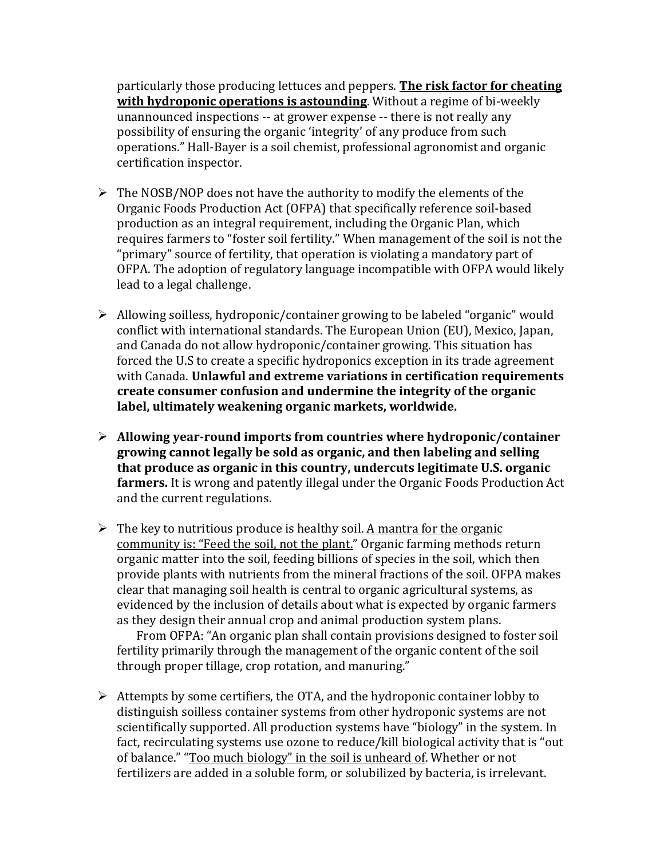particularly those producing lettuces and peppers. **The risk factor for cheating with hydroponic operations is astounding**. Without a regime of bi-weekly unannounced inspections -- at grower expense -- there is not really any possibility of ensuring the organic 'integrity' of any produce from such operations." Hall-Bayer is a soil chemist, professional agronomist and organic certification inspector.

- $\triangleright$  The NOSB/NOP does not have the authority to modify the elements of the Organic Foods Production Act (OFPA) that specifically reference soil-based production as an integral requirement, including the Organic Plan, which requires farmers to "foster soil fertility." When management of the soil is not the "primary" source of fertility, that operation is violating a mandatory part of OFPA. The adoption of regulatory language incompatible with OFPA would likely lead to a legal challenge.
- Allowing soilless, hydroponic/container growing to be labeled "organic" would conflict with international standards. The European Union (EU), Mexico, Japan, and Canada do not allow hydroponic/container growing. This situation has forced the U.S to create a specific hydroponics exception in its trade agreement with Canada. **Unlawful and extreme variations in certification requirements create consumer confusion and undermine the integrity of the organic label, ultimately weakening organic markets, worldwide.**
- **Allowing year-round imports from countries where hydroponic/container growing cannot legally be sold as organic, and then labeling and selling that produce as organic in this country, undercuts legitimate U.S. organic farmers.** It is wrong and patently illegal under the Organic Foods Production Act and the current regulations.
- $\triangleright$  The key to nutritious produce is healthy soil. A mantra for the organic community is: "Feed the soil, not the plant." Organic farming methods return organic matter into the soil, feeding billions of species in the soil, which then provide plants with nutrients from the mineral fractions of the soil. OFPA makes clear that managing soil health is central to organic agricultural systems, as evidenced by the inclusion of details about what is expected by organic farmers as they design their annual crop and animal production system plans.

From OFPA: "An organic plan shall contain provisions designed to foster soil fertility primarily through the management of the organic content of the soil through proper tillage, crop rotation, and manuring."

 $\triangleright$  Attempts by some certifiers, the OTA, and the hydroponic container lobby to distinguish soilless container systems from other hydroponic systems are not scientifically supported. All production systems have "biology" in the system. In fact, recirculating systems use ozone to reduce/kill biological activity that is "out of balance." "Too much biology" in the soil is unheard of. Whether or not fertilizers are added in a soluble form, or solubilized by bacteria, is irrelevant.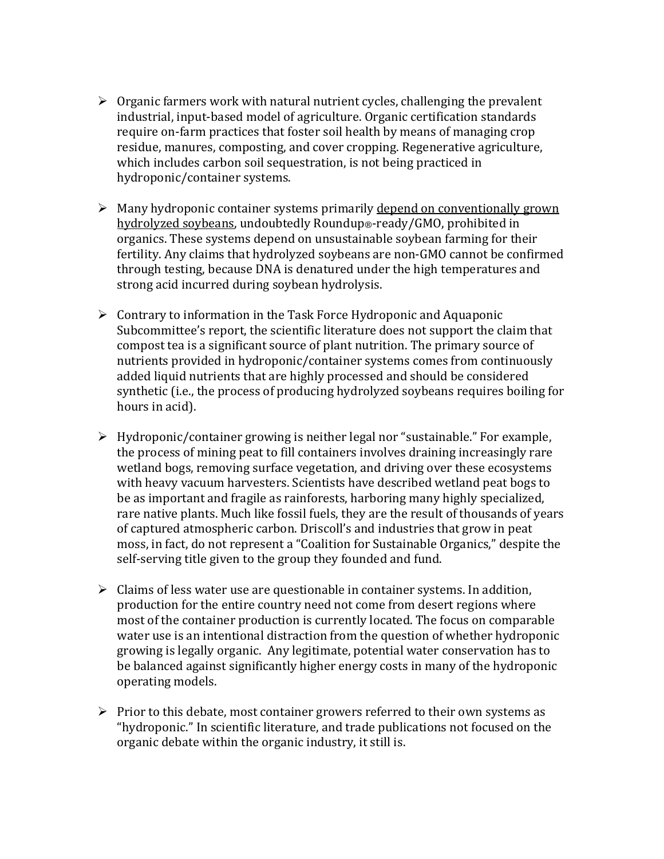- $\triangleright$  Organic farmers work with natural nutrient cycles, challenging the prevalent industrial, input-based model of agriculture. Organic certification standards require on-farm practices that foster soil health by means of managing crop residue, manures, composting, and cover cropping. Regenerative agriculture, which includes carbon soil sequestration, is not being practiced in hydroponic/container systems.
- $\triangleright$  Many hydroponic container systems primarily depend on conventionally grown hydrolyzed soybeans, undoubtedly Roundup®-ready/GMO, prohibited in organics. These systems depend on unsustainable soybean farming for their fertility. Any claims that hydrolyzed soybeans are non-GMO cannot be confirmed through testing, because DNA is denatured under the high temperatures and strong acid incurred during soybean hydrolysis.
- $\triangleright$  Contrary to information in the Task Force Hydroponic and Aquaponic Subcommittee's report, the scientific literature does not support the claim that compost tea is a significant source of plant nutrition. The primary source of nutrients provided in hydroponic/container systems comes from continuously added liquid nutrients that are highly processed and should be considered synthetic (i.e., the process of producing hydrolyzed soybeans requires boiling for hours in acid).
- Hydroponic/container growing is neither legal nor "sustainable." For example, the process of mining peat to fill containers involves draining increasingly rare wetland bogs, removing surface vegetation, and driving over these ecosystems with heavy vacuum harvesters. Scientists have described wetland peat bogs to be as important and fragile as rainforests, harboring many highly specialized, rare native plants. Much like fossil fuels, they are the result of thousands of years of captured atmospheric carbon. Driscoll's and industries that grow in peat moss, in fact, do not represent a "Coalition for Sustainable Organics," despite the self-serving title given to the group they founded and fund.
- $\triangleright$  Claims of less water use are questionable in container systems. In addition, production for the entire country need not come from desert regions where most of the container production is currently located. The focus on comparable water use is an intentional distraction from the question of whether hydroponic growing is legally organic. Any legitimate, potential water conservation has to be balanced against significantly higher energy costs in many of the hydroponic operating models.
- $\triangleright$  Prior to this debate, most container growers referred to their own systems as "hydroponic." In scientific literature, and trade publications not focused on the organic debate within the organic industry, it still is.